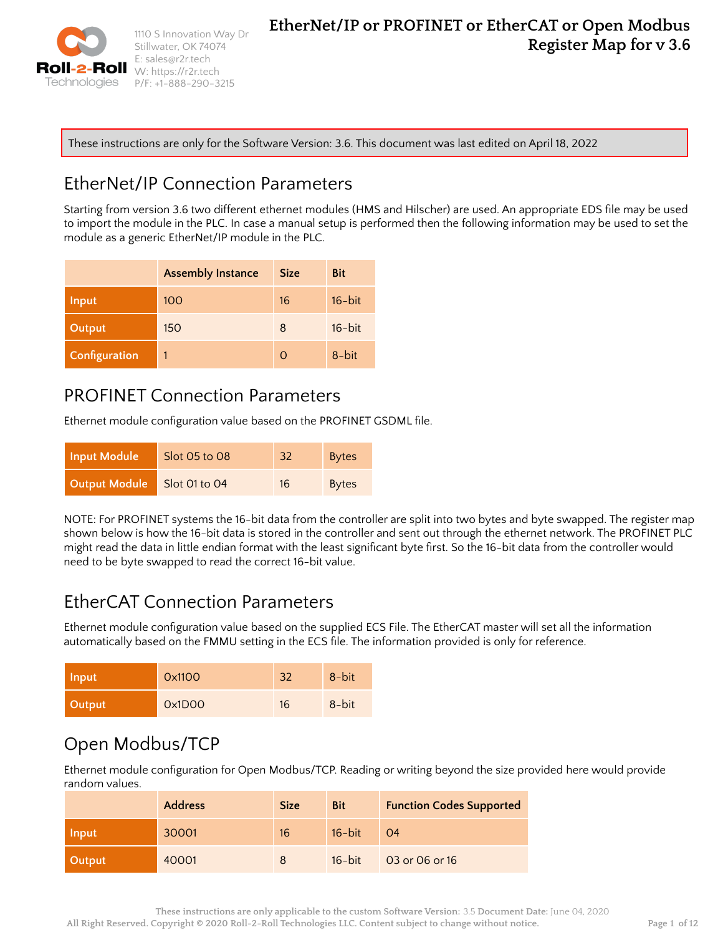

1110 S Innovation Way Dr Stillwater, OK 74074 E: sales@r2r.tech W: <https://r2r.tech> P/F: +1-888-290-3215

These instructions are only for the Software Version: 3.6. This document was last edited on April 18, 2022

# EtherNet/IP Connection Parameters

Starting from version 3.6 two different ethernet modules (HMS and Hilscher) are used. An appropriate EDS file may be used to import the module in the PLC. In case a manual setup is performed then the following information may be used to set the module as a generic EtherNet/IP module in the PLC.

|               | <b>Assembly Instance</b> | <b>Size</b>   | Bit       |
|---------------|--------------------------|---------------|-----------|
| <b>Input</b>  | 100                      | 16            | $16$ -bit |
| Output        | 150                      | 8             | $16$ -bit |
| Configuration | 1                        | $\mathcal{O}$ | 8-bit     |

## PROFINET Connection Parameters

Ethernet module configuration value based on the PROFINET GSDML file.

| Input Module  | Slot 05 to 08 | 32 | <b>Bytes</b> |
|---------------|---------------|----|--------------|
| Output Module | Slot 01 to 04 | 16 | <b>Bytes</b> |

NOTE: For PROFINET systems the 16-bit data from the controller are split into two bytes and byte swapped. The register map shown below is how the 16-bit data is stored in the controller and sent out through the ethernet network. The PROFINET PLC might read the data in little endian format with the least significant byte first. So the 16-bit data from the controller would need to be byte swapped to read the correct 16-bit value.

## EtherCAT Connection Parameters

Ethernet module configuration value based on the supplied ECS File. The EtherCAT master will set all the information automatically based on the FMMU setting in the ECS file. The information provided is only for reference.

| Input         | 0x1100 | 32 | 8-bit |
|---------------|--------|----|-------|
| <b>Output</b> | 0x1D00 | 16 | 8-bit |

# Open Modbus/TCP

Ethernet module configuration for Open Modbus/TCP. Reading or writing beyond the size provided here would provide random values.

|        | <b>Address</b> | <b>Size</b> | <b>Bit</b> | <b>Function Codes Supported</b> |
|--------|----------------|-------------|------------|---------------------------------|
| Input  | 30001          | 16          | $16$ -bit  | O <sub>4</sub>                  |
| Output | 40001          |             | $16$ -bit  | 03 or 06 or 16                  |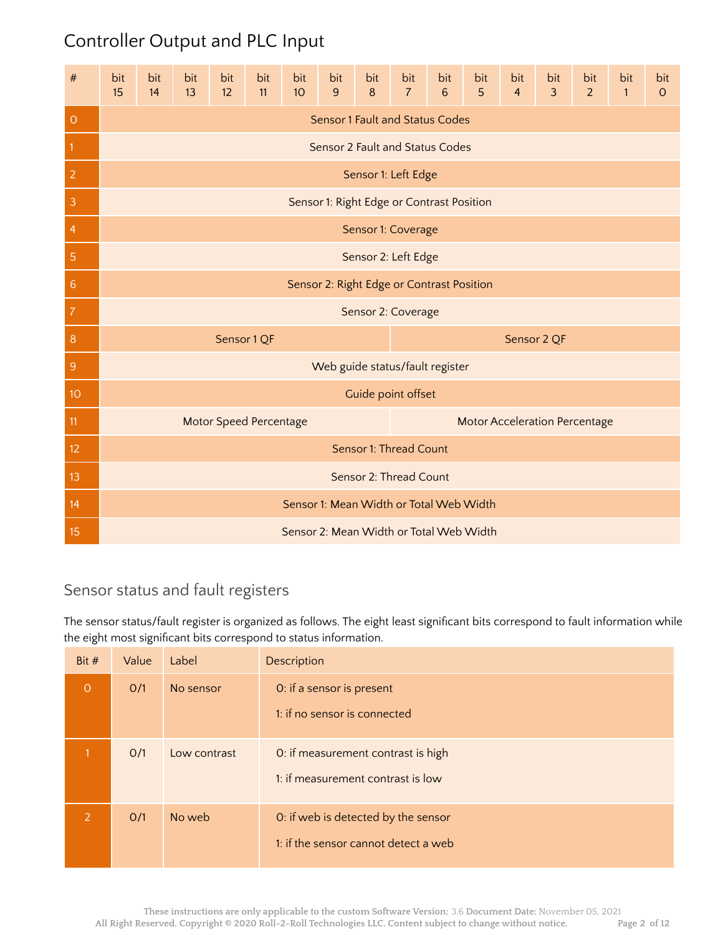# Controller Output and PLC Input

| #               | bit<br>15                                 | bit<br>14 | bit<br>13 | bit<br>12                     | bit<br>11 | bit<br>10 <sup>°</sup> | bit<br>9 | bit<br>$\boldsymbol{8}$ | bit<br>$\overline{7}$                     | bit<br>$6\phantom{1}$ | bit<br>5 | bit<br>$\overline{4}$ | bit<br>$\overline{3}$                | bit<br>$\overline{2}$ | bit<br>$\mathbf{1}$ | bit<br>$\circ$ |
|-----------------|-------------------------------------------|-----------|-----------|-------------------------------|-----------|------------------------|----------|-------------------------|-------------------------------------------|-----------------------|----------|-----------------------|--------------------------------------|-----------------------|---------------------|----------------|
| $\overline{O}$  |                                           |           |           |                               |           |                        |          |                         | <b>Sensor 1 Fault and Status Codes</b>    |                       |          |                       |                                      |                       |                     |                |
| $\mathbf{1}$    |                                           |           |           |                               |           |                        |          |                         | Sensor 2 Fault and Status Codes           |                       |          |                       |                                      |                       |                     |                |
| $\overline{2}$  | Sensor 1: Left Edge                       |           |           |                               |           |                        |          |                         |                                           |                       |          |                       |                                      |                       |                     |                |
| 3               | Sensor 1: Right Edge or Contrast Position |           |           |                               |           |                        |          |                         |                                           |                       |          |                       |                                      |                       |                     |                |
| 4               | Sensor 1: Coverage                        |           |           |                               |           |                        |          |                         |                                           |                       |          |                       |                                      |                       |                     |                |
| 5               | Sensor 2: Left Edge                       |           |           |                               |           |                        |          |                         |                                           |                       |          |                       |                                      |                       |                     |                |
| $6\phantom{1}6$ |                                           |           |           |                               |           |                        |          |                         | Sensor 2: Right Edge or Contrast Position |                       |          |                       |                                      |                       |                     |                |
| 7               |                                           |           |           |                               |           |                        |          |                         | Sensor 2: Coverage                        |                       |          |                       |                                      |                       |                     |                |
| 8               |                                           |           |           | Sensor 1 QF                   |           |                        |          |                         |                                           |                       |          |                       | Sensor 2 QF                          |                       |                     |                |
| $\overline{9}$  |                                           |           |           |                               |           |                        |          |                         | Web guide status/fault register           |                       |          |                       |                                      |                       |                     |                |
| 10              |                                           |           |           |                               |           |                        |          |                         | Guide point offset                        |                       |          |                       |                                      |                       |                     |                |
| 11              |                                           |           |           | <b>Motor Speed Percentage</b> |           |                        |          |                         |                                           |                       |          |                       | <b>Motor Acceleration Percentage</b> |                       |                     |                |
| 12              |                                           |           |           |                               |           |                        |          |                         | Sensor 1: Thread Count                    |                       |          |                       |                                      |                       |                     |                |
| 13              |                                           |           |           |                               |           |                        |          |                         | Sensor 2: Thread Count                    |                       |          |                       |                                      |                       |                     |                |
| 14              |                                           |           |           |                               |           |                        |          |                         | Sensor 1: Mean Width or Total Web Width   |                       |          |                       |                                      |                       |                     |                |
| 15              |                                           |           |           |                               |           |                        |          |                         | Sensor 2: Mean Width or Total Web Width   |                       |          |                       |                                      |                       |                     |                |

## Sensor status and fault registers

The sensor status/fault register is organized as follows. The eight least significant bits correspond to fault information while the eight most significant bits correspond to status information.

| Bit #   | Value | Label        | Description                                                                 |
|---------|-------|--------------|-----------------------------------------------------------------------------|
| $\circ$ | O/1   | No sensor    | O: if a sensor is present<br>1: if no sensor is connected                   |
|         | O/1   | Low contrast | O: if measurement contrast is high<br>1: if measurement contrast is low     |
| 2       | O/1   | No web       | O: if web is detected by the sensor<br>1: if the sensor cannot detect a web |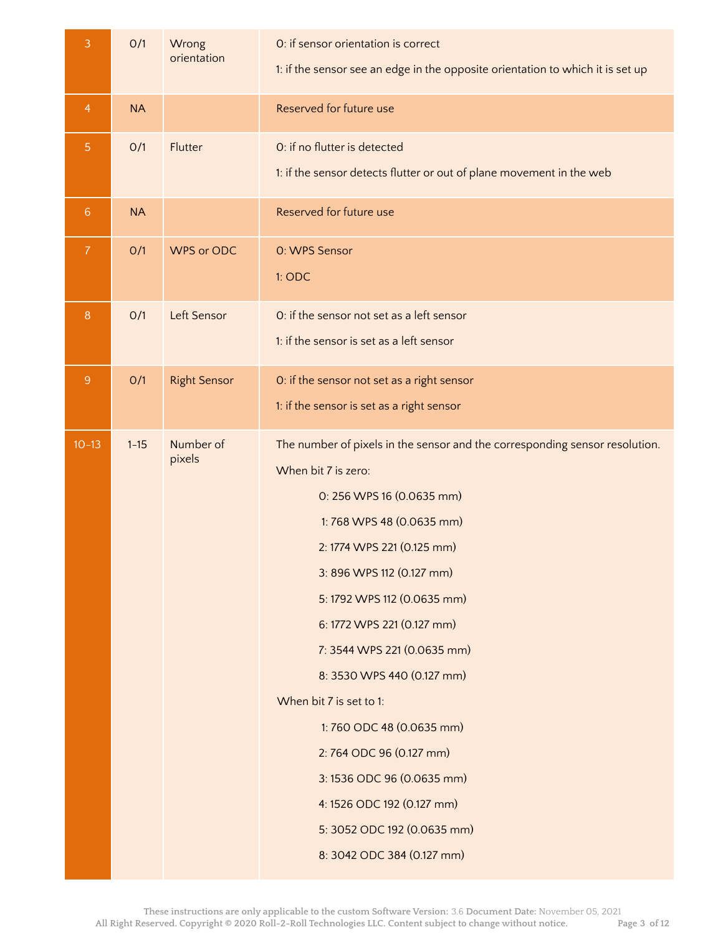| 3               | O/1       | Wrong<br>orientation | O: if sensor orientation is correct<br>1: if the sensor see an edge in the opposite orientation to which it is set up                                                                                                                                                                                                                                                                                                                                                                                                                                      |
|-----------------|-----------|----------------------|------------------------------------------------------------------------------------------------------------------------------------------------------------------------------------------------------------------------------------------------------------------------------------------------------------------------------------------------------------------------------------------------------------------------------------------------------------------------------------------------------------------------------------------------------------|
| $\overline{4}$  | <b>NA</b> |                      | Reserved for future use                                                                                                                                                                                                                                                                                                                                                                                                                                                                                                                                    |
| $\overline{5}$  | O/1       | Flutter              | O: if no flutter is detected<br>1: if the sensor detects flutter or out of plane movement in the web                                                                                                                                                                                                                                                                                                                                                                                                                                                       |
| $6\phantom{1}6$ | <b>NA</b> |                      | Reserved for future use                                                                                                                                                                                                                                                                                                                                                                                                                                                                                                                                    |
| $\overline{7}$  | O/1       | WPS or ODC           | 0: WPS Sensor<br>1: ODC                                                                                                                                                                                                                                                                                                                                                                                                                                                                                                                                    |
| $\, 8$          | O/1       | Left Sensor          | O: if the sensor not set as a left sensor<br>1: if the sensor is set as a left sensor                                                                                                                                                                                                                                                                                                                                                                                                                                                                      |
| $\overline{9}$  | O/1       | <b>Right Sensor</b>  | O: if the sensor not set as a right sensor<br>1: if the sensor is set as a right sensor                                                                                                                                                                                                                                                                                                                                                                                                                                                                    |
| $10 - 13$       | $1 - 15$  | Number of<br>pixels  | The number of pixels in the sensor and the corresponding sensor resolution.<br>When bit 7 is zero:<br>0: 256 WPS 16 (0.0635 mm)<br>1:768 WPS 48 (0.0635 mm)<br>2: 1774 WPS 221 (0.125 mm)<br>3: 896 WPS 112 (0.127 mm)<br>5: 1792 WPS 112 (0.0635 mm)<br>6: 1772 WPS 221 (0.127 mm)<br>7: 3544 WPS 221 (0.0635 mm)<br>8: 3530 WPS 440 (0.127 mm)<br>When bit 7 is set to 1:<br>1:760 ODC 48 (0.0635 mm)<br>2:764 ODC 96 (0.127 mm)<br>3:1536 ODC 96 (0.0635 mm)<br>4: 1526 ODC 192 (0.127 mm)<br>5: 3052 ODC 192 (0.0635 mm)<br>8: 3042 ODC 384 (0.127 mm) |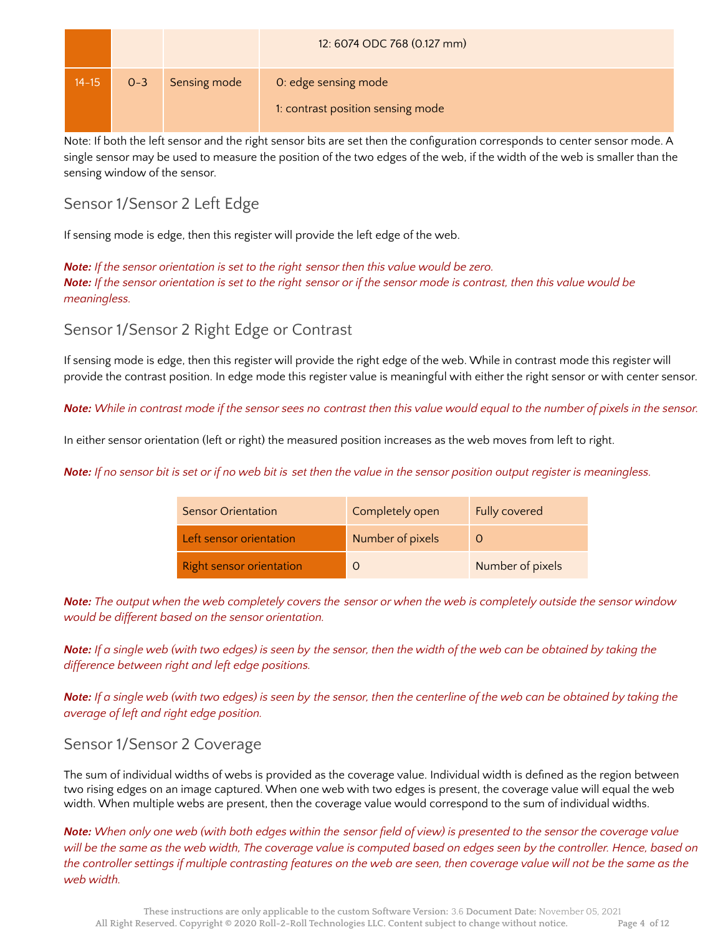|           |         |              | 12: 6074 ODC 768 (0.127 mm)                               |
|-----------|---------|--------------|-----------------------------------------------------------|
| $14 - 15$ | $0 - 3$ | Sensing mode | 0: edge sensing mode<br>1: contrast position sensing mode |

Note: If both the left sensor and the right sensor bits are set then the configuration corresponds to center sensor mode. A single sensor may be used to measure the position of the two edges of the web, if the width of the web is smaller than the sensing window of the sensor.

## Sensor 1/Sensor 2 Left Edge

If sensing mode is edge, then this register will provide the left edge of the web.

*Note: If the sensor orientation is set to the right sensor then this value would be zero.* Note: If the sensor orientation is set to the right sensor or if the sensor mode is contrast, then this value would be *meaningless.*

### Sensor 1/Sensor 2 Right Edge or Contrast

If sensing mode is edge, then this register will provide the right edge of the web. While in contrast mode this register will provide the contrast position. In edge mode this register value is meaningful with either the right sensor or with center sensor.

Note: While in contrast mode if the sensor sees no contrast then this value would equal to the number of pixels in the sensor.

In either sensor orientation (left or right) the measured position increases as the web moves from left to right.

Note: If no sensor bit is set or if no web bit is set then the value in the sensor position output register is meaningless.

| <b>Sensor Orientation</b>       | Completely open  | Fully covered    |
|---------------------------------|------------------|------------------|
| Left sensor orientation         | Number of pixels |                  |
| <b>Right sensor orientation</b> |                  | Number of pixels |

Note: The output when the web completely covers the sensor or when the web is completely outside the sensor window *would be different based on the sensor orientation.*

Note: If a single web (with two edges) is seen by the sensor, then the width of the web can be obtained by taking the *difference between right and left edge positions.*

**Note:** If a single web (with two edges) is seen by the sensor, then the centerline of the web can be obtained by taking the *average of left and right edge position.*

### Sensor 1/Sensor 2 Coverage

The sum of individual widths of webs is provided as the coverage value. Individual width is defined as the region between two rising edges on an image captured. When one web with two edges is present, the coverage value will equal the web width. When multiple webs are present, then the coverage value would correspond to the sum of individual widths.

Note: When only one web (with both edges within the sensor field of view) is presented to the sensor the coverage value will be the same as the web width, The coverage value is computed based on edges seen by the controller. Hence, based on the controller settings if multiple contrasting features on the web are seen, then coverage value will not be the same as the *web width.*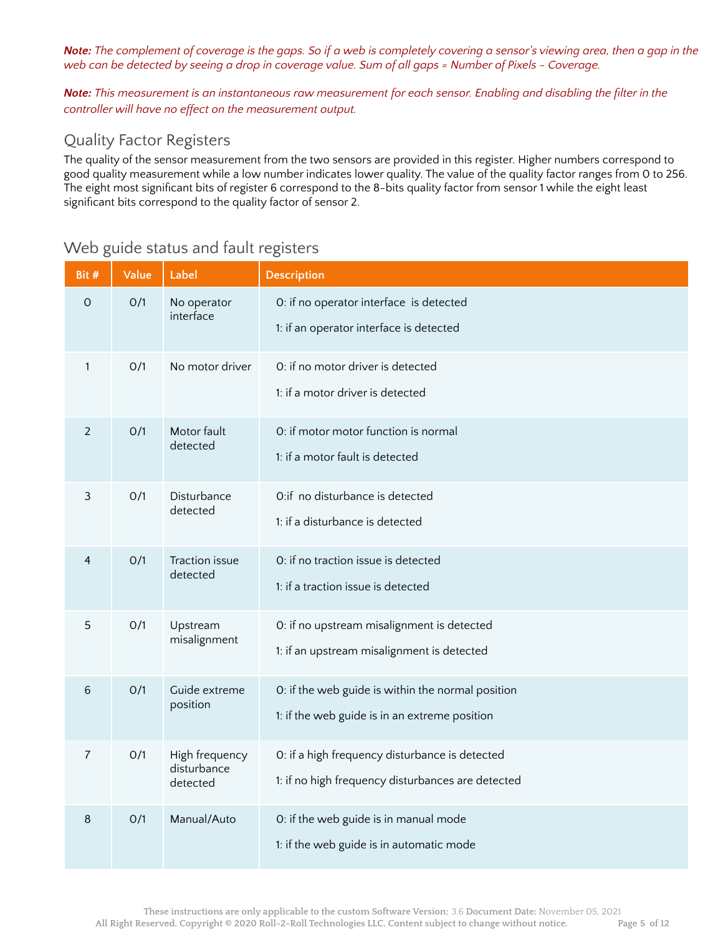Note: The complement of coverage is the gaps. So if a web is completely covering a sensor's viewing area, then a gap in the web can be detected by seeing a drop in coverage value. Sum of all gaps = Number of Pixels - Coverage.

Note: This measurement is an instantaneous raw measurement for each sensor. Enabling and disabling the filter in the *controller will have no effect on the measurement output.*

## Quality Factor Registers

The quality of the sensor measurement from the two sensors are provided in this register. Higher numbers correspond to good quality measurement while a low number indicates lower quality. The value of the quality factor ranges from 0 to 256. The eight most significant bits of register 6 correspond to the 8-bits quality factor from sensor 1 while the eight least significant bits correspond to the quality factor of sensor 2.

| Bit #        | Value | Label                                     | <b>Description</b>                                                                                  |
|--------------|-------|-------------------------------------------|-----------------------------------------------------------------------------------------------------|
| $\mathbf 0$  | O/1   | No operator<br>interface                  | O: if no operator interface is detected<br>1: if an operator interface is detected                  |
| $\mathbf{1}$ | O/1   | No motor driver                           | 0: if no motor driver is detected<br>1: if a motor driver is detected                               |
| 2            | O/1   | Motor fault<br>detected                   | 0: if motor motor function is normal<br>1: if a motor fault is detected                             |
| 3            | O/1   | Disturbance<br>detected                   | O:if no disturbance is detected<br>1: if a disturbance is detected                                  |
| 4            | O/1   | <b>Traction issue</b><br>detected         | O: if no traction issue is detected<br>1: if a traction issue is detected                           |
| 5            | O/1   | Upstream<br>misalignment                  | 0: if no upstream misalignment is detected<br>1: if an upstream misalignment is detected            |
| 6            | O/1   | Guide extreme<br>position                 | 0: if the web guide is within the normal position<br>1: if the web guide is in an extreme position  |
| 7            | O/1   | High frequency<br>disturbance<br>detected | O: if a high frequency disturbance is detected<br>1: if no high frequency disturbances are detected |
| 8            | O/1   | Manual/Auto                               | 0: if the web guide is in manual mode<br>1: if the web guide is in automatic mode                   |

### Web guide status and fault registers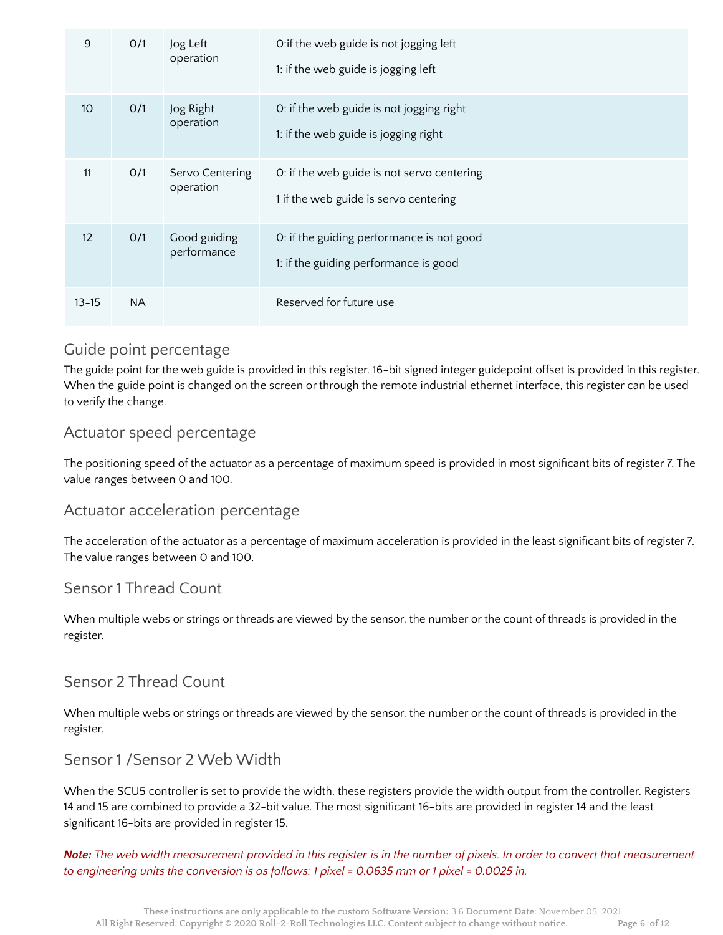| 9         | O/1       | Jog Left<br>operation        | O: if the web guide is not jogging left<br>1: if the web guide is jogging left      |
|-----------|-----------|------------------------------|-------------------------------------------------------------------------------------|
| 10        | O/1       | Jog Right<br>operation       | O: if the web guide is not jogging right<br>1: if the web guide is jogging right    |
| 11        | O/1       | Servo Centering<br>operation | 0: if the web guide is not servo centering<br>1 if the web guide is servo centering |
| 12        | O/1       | Good guiding<br>performance  | O: if the guiding performance is not good<br>1: if the guiding performance is good  |
| $13 - 15$ | <b>NA</b> |                              | Reserved for future use                                                             |

### Guide point percentage

The guide point for the web guide is provided in this register. 16-bit signed integer guidepoint offset is provided in this register. When the guide point is changed on the screen or through the remote industrial ethernet interface, this register can be used to verify the change.

### Actuator speed percentage

The positioning speed of the actuator as a percentage of maximum speed is provided in most significant bits of register 7. The value ranges between 0 and 100.

#### Actuator acceleration percentage

The acceleration of the actuator as a percentage of maximum acceleration is provided in the least significant bits of register 7. The value ranges between 0 and 100.

#### Sensor 1 Thread Count

When multiple webs or strings or threads are viewed by the sensor, the number or the count of threads is provided in the register.

### Sensor 2 Thread Count

When multiple webs or strings or threads are viewed by the sensor, the number or the count of threads is provided in the register.

#### Sensor 1 /Sensor 2 Web Width

When the SCU5 controller is set to provide the width, these registers provide the width output from the controller. Registers 14 and 15 are combined to provide a 32-bit value. The most significant 16-bits are provided in register 14 and the least significant 16-bits are provided in register 15.

Note: The web width measurement provided in this register is in the number of pixels. In order to convert that measurement to engineering units the conversion is as follows: 1 pixel =  $0.0635$  mm or 1 pixel =  $0.0025$  in.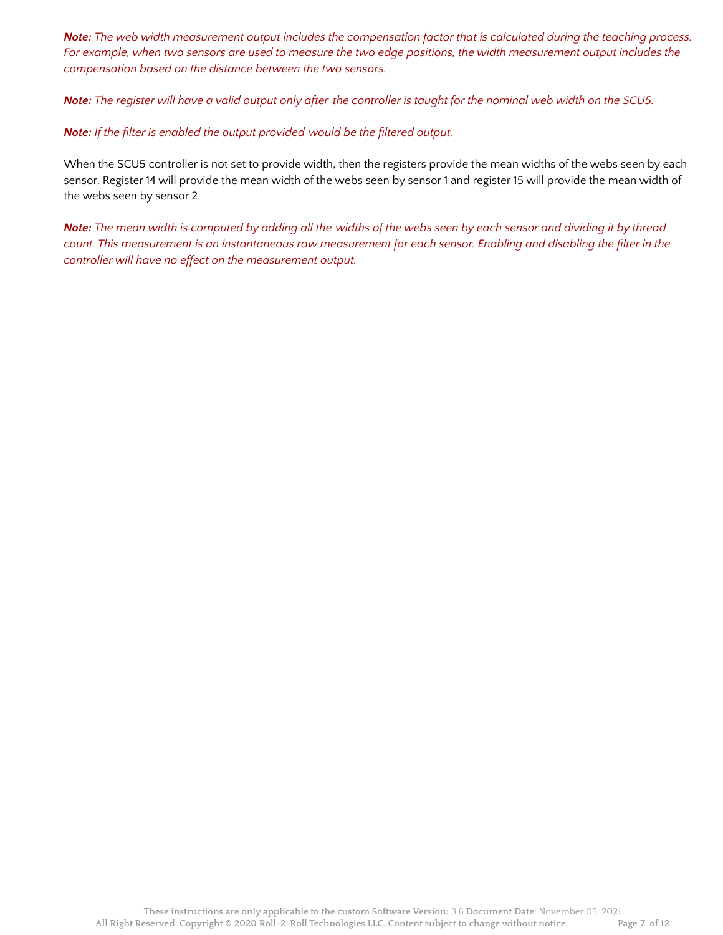Note: The web width measurement output includes the compensation factor that is calculated during the teaching process. For example, when two sensors are used to measure the two edge positions, the width measurement output includes the *compensation based on the distance between the two sensors.*

Note: The register will have a valid output only after the controller is taught for the nominal web width on the SCU5.

*Note: If the filter is enabled the output provided would be the filtered output.*

When the SCU5 controller is not set to provide width, then the registers provide the mean widths of the webs seen by each sensor. Register 14 will provide the mean width of the webs seen by sensor 1 and register 15 will provide the mean width of the webs seen by sensor 2.

Note: The mean width is computed by adding all the widths of the webs seen by each sensor and dividing it by thread count. This measurement is an instantaneous raw measurement for each sensor. Enabling and disabling the filter in the *controller will have no effect on the measurement output.*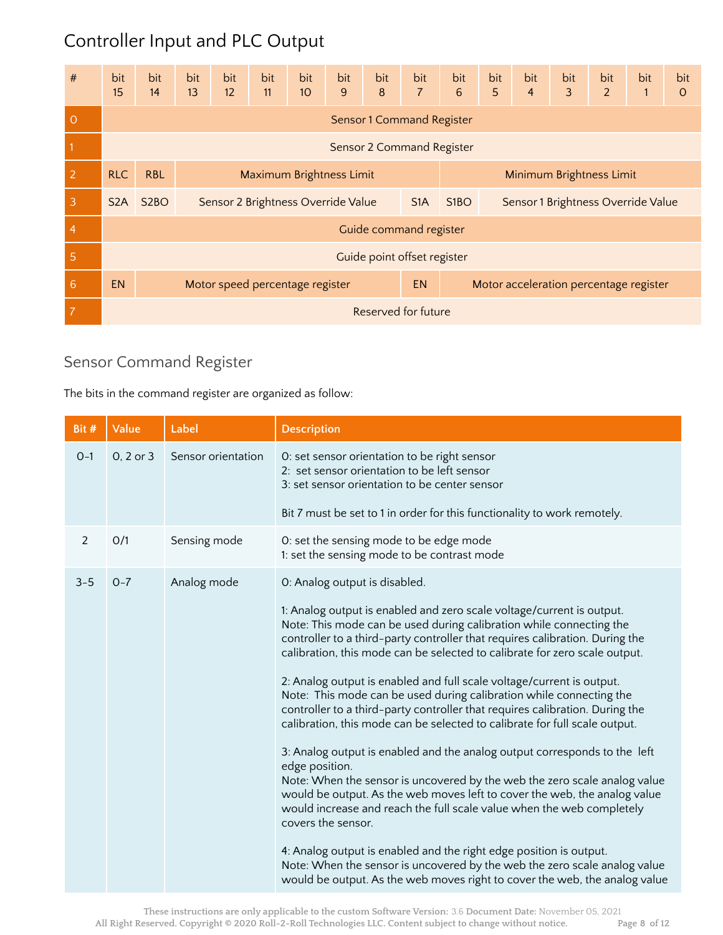# Controller Input and PLC Output

| #               | bit<br>15                                    | bit<br>14         | bit<br>13 | bit<br>12 | bit<br>11                          | bit<br>10 | bit<br>9 | bit<br>$\boldsymbol{8}$ | bit<br>$\overline{7}$       | bit<br>$6\phantom{1}$                               | bit<br>5                           | bit<br>$\overline{4}$ | bit<br>3 | bit<br>$\overline{2}$ | bit<br>$\mathbf{1}$ | bit<br>$\overline{O}$ |
|-----------------|----------------------------------------------|-------------------|-----------|-----------|------------------------------------|-----------|----------|-------------------------|-----------------------------|-----------------------------------------------------|------------------------------------|-----------------------|----------|-----------------------|---------------------|-----------------------|
| $\overline{O}$  | <b>Sensor 1 Command Register</b>             |                   |           |           |                                    |           |          |                         |                             |                                                     |                                    |                       |          |                       |                     |                       |
|                 | Sensor 2 Command Register                    |                   |           |           |                                    |           |          |                         |                             |                                                     |                                    |                       |          |                       |                     |                       |
| $\overline{2}$  | <b>RLC</b>                                   | <b>RBL</b>        |           |           | Maximum Brightness Limit           |           |          |                         |                             | Minimum Brightness Limit                            |                                    |                       |          |                       |                     |                       |
| 3               | S <sub>2</sub> A                             | S <sub>2</sub> BO |           |           | Sensor 2 Brightness Override Value |           |          |                         | S <sub>1</sub> A            | S <sub>1</sub> BO                                   | Sensor 1 Brightness Override Value |                       |          |                       |                     |                       |
| $\overline{4}$  |                                              |                   |           |           |                                    |           |          |                         | Guide command register      |                                                     |                                    |                       |          |                       |                     |                       |
| 5               |                                              |                   |           |           |                                    |           |          |                         | Guide point offset register |                                                     |                                    |                       |          |                       |                     |                       |
| $6\phantom{1}6$ | <b>EN</b><br>Motor speed percentage register |                   |           |           |                                    |           |          |                         |                             | <b>EN</b><br>Motor acceleration percentage register |                                    |                       |          |                       |                     |                       |
| 7               |                                              |                   |           |           |                                    |           |          |                         | Reserved for future         |                                                     |                                    |                       |          |                       |                     |                       |

## Sensor Command Register

The bits in the command register are organized as follow:

| Bit #   | Value     | Label              | <b>Description</b>                                                                                                                                                                                                                                                                                                                                                                                                                                                                                                                                                                                                                                                                                                                                                                                                                                                                                                                                                                                                                                                                                                                                                                                                |
|---------|-----------|--------------------|-------------------------------------------------------------------------------------------------------------------------------------------------------------------------------------------------------------------------------------------------------------------------------------------------------------------------------------------------------------------------------------------------------------------------------------------------------------------------------------------------------------------------------------------------------------------------------------------------------------------------------------------------------------------------------------------------------------------------------------------------------------------------------------------------------------------------------------------------------------------------------------------------------------------------------------------------------------------------------------------------------------------------------------------------------------------------------------------------------------------------------------------------------------------------------------------------------------------|
| $0 - 1$ | 0, 2 or 3 | Sensor orientation | O: set sensor orientation to be right sensor<br>2: set sensor orientation to be left sensor<br>3: set sensor orientation to be center sensor<br>Bit 7 must be set to 1 in order for this functionality to work remotely.                                                                                                                                                                                                                                                                                                                                                                                                                                                                                                                                                                                                                                                                                                                                                                                                                                                                                                                                                                                          |
|         |           |                    |                                                                                                                                                                                                                                                                                                                                                                                                                                                                                                                                                                                                                                                                                                                                                                                                                                                                                                                                                                                                                                                                                                                                                                                                                   |
| 2       | O/1       | Sensing mode       | 0: set the sensing mode to be edge mode<br>1: set the sensing mode to be contrast mode                                                                                                                                                                                                                                                                                                                                                                                                                                                                                                                                                                                                                                                                                                                                                                                                                                                                                                                                                                                                                                                                                                                            |
| $3 - 5$ | $O - 7$   | Analog mode        | O: Analog output is disabled.                                                                                                                                                                                                                                                                                                                                                                                                                                                                                                                                                                                                                                                                                                                                                                                                                                                                                                                                                                                                                                                                                                                                                                                     |
|         |           |                    | 1: Analog output is enabled and zero scale voltage/current is output.<br>Note: This mode can be used during calibration while connecting the<br>controller to a third-party controller that requires calibration. During the<br>calibration, this mode can be selected to calibrate for zero scale output.<br>2: Analog output is enabled and full scale voltage/current is output.<br>Note: This mode can be used during calibration while connecting the<br>controller to a third-party controller that requires calibration. During the<br>calibration, this mode can be selected to calibrate for full scale output.<br>3: Analog output is enabled and the analog output corresponds to the left<br>edge position.<br>Note: When the sensor is uncovered by the web the zero scale analog value<br>would be output. As the web moves left to cover the web, the analog value<br>would increase and reach the full scale value when the web completely<br>covers the sensor.<br>4: Analog output is enabled and the right edge position is output.<br>Note: When the sensor is uncovered by the web the zero scale analog value<br>would be output. As the web moves right to cover the web, the analog value |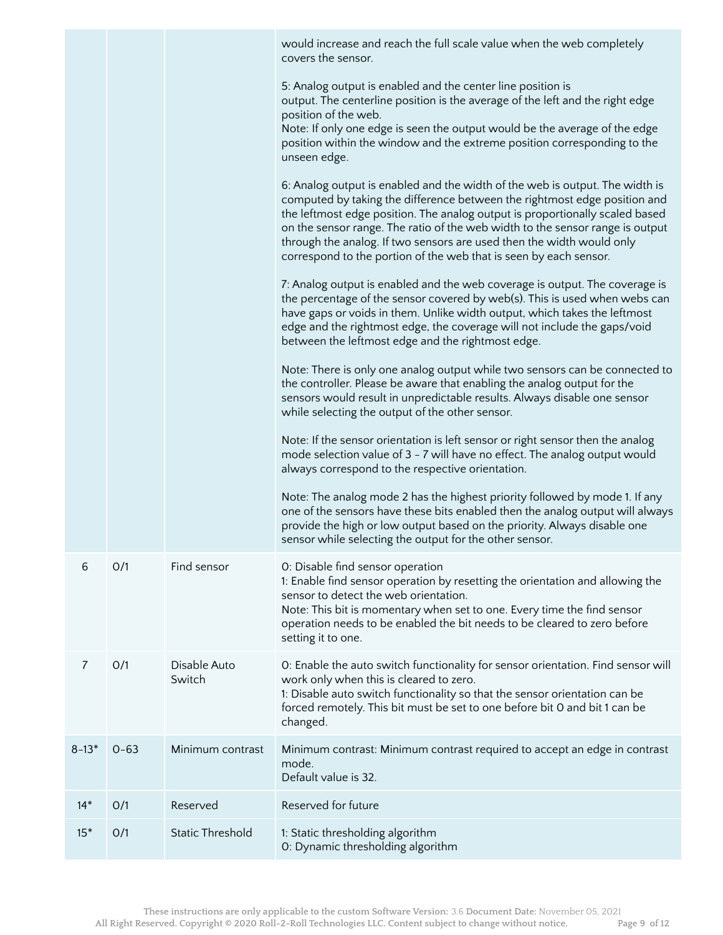|           |          |                         | would increase and reach the full scale value when the web completely<br>covers the sensor.                                                                                                                                                                                                                                                                                                                                                                              |
|-----------|----------|-------------------------|--------------------------------------------------------------------------------------------------------------------------------------------------------------------------------------------------------------------------------------------------------------------------------------------------------------------------------------------------------------------------------------------------------------------------------------------------------------------------|
|           |          |                         | 5: Analog output is enabled and the center line position is<br>output. The centerline position is the average of the left and the right edge<br>position of the web.<br>Note: If only one edge is seen the output would be the average of the edge<br>position within the window and the extreme position corresponding to the<br>unseen edge.                                                                                                                           |
|           |          |                         | 6: Analog output is enabled and the width of the web is output. The width is<br>computed by taking the difference between the rightmost edge position and<br>the leftmost edge position. The analog output is proportionally scaled based<br>on the sensor range. The ratio of the web width to the sensor range is output<br>through the analog. If two sensors are used then the width would only<br>correspond to the portion of the web that is seen by each sensor. |
|           |          |                         | 7: Analog output is enabled and the web coverage is output. The coverage is<br>the percentage of the sensor covered by web(s). This is used when webs can<br>have gaps or voids in them. Unlike width output, which takes the leftmost<br>edge and the rightmost edge, the coverage will not include the gaps/void<br>between the leftmost edge and the rightmost edge.                                                                                                  |
|           |          |                         | Note: There is only one analog output while two sensors can be connected to<br>the controller. Please be aware that enabling the analog output for the<br>sensors would result in unpredictable results. Always disable one sensor<br>while selecting the output of the other sensor.                                                                                                                                                                                    |
|           |          |                         | Note: If the sensor orientation is left sensor or right sensor then the analog<br>mode selection value of 3 - 7 will have no effect. The analog output would<br>always correspond to the respective orientation.                                                                                                                                                                                                                                                         |
|           |          |                         | Note: The analog mode 2 has the highest priority followed by mode 1. If any<br>one of the sensors have these bits enabled then the analog output will always<br>provide the high or low output based on the priority. Always disable one<br>sensor while selecting the output for the other sensor.                                                                                                                                                                      |
| 6         | O/1      | Find sensor             | O: Disable find sensor operation<br>1: Enable find sensor operation by resetting the orientation and allowing the<br>sensor to detect the web orientation.<br>Note: This bit is momentary when set to one. Every time the find sensor<br>operation needs to be enabled the bit needs to be cleared to zero before<br>setting it to one.                                                                                                                                  |
| 7         | O/1      | Disable Auto<br>Switch  | O: Enable the auto switch functionality for sensor orientation. Find sensor will<br>work only when this is cleared to zero.<br>1: Disable auto switch functionality so that the sensor orientation can be<br>forced remotely. This bit must be set to one before bit 0 and bit 1 can be<br>changed.                                                                                                                                                                      |
| $8 - 13*$ | $0 - 63$ | Minimum contrast        | Minimum contrast: Minimum contrast required to accept an edge in contrast<br>mode.<br>Default value is 32.                                                                                                                                                                                                                                                                                                                                                               |
| $14*$     | O/1      | Reserved                | Reserved for future                                                                                                                                                                                                                                                                                                                                                                                                                                                      |
| $15*$     | O/1      | <b>Static Threshold</b> | 1: Static thresholding algorithm<br>0: Dynamic thresholding algorithm                                                                                                                                                                                                                                                                                                                                                                                                    |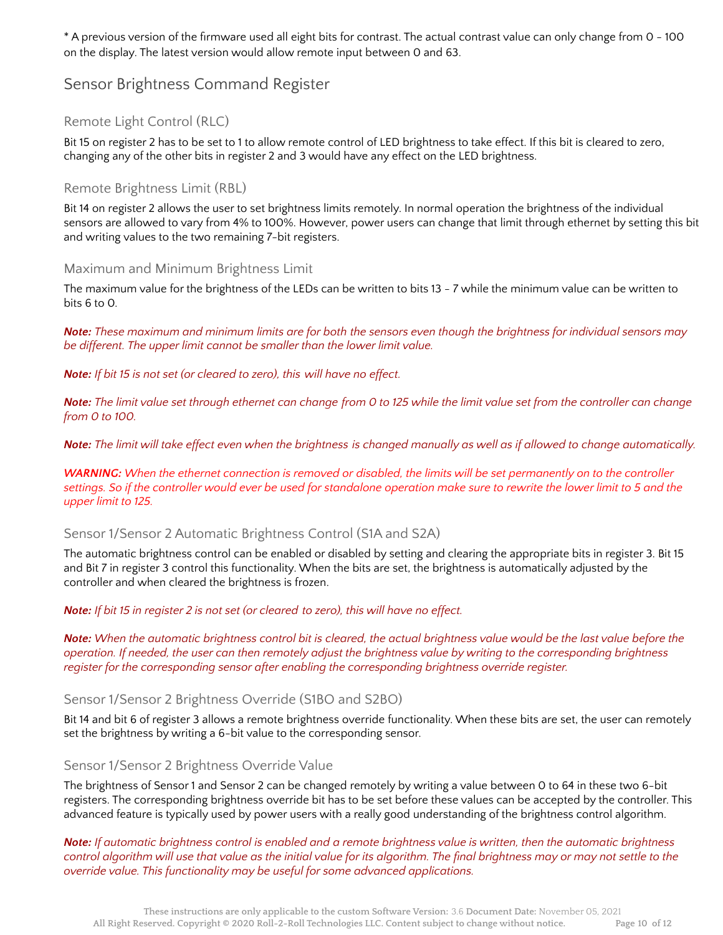\* A previous version of the firmware used all eight bits for contrast. The actual contrast value can only change from 0 - 100 on the display. The latest version would allow remote input between 0 and 63.

#### Sensor Brightness Command Register

#### Remote Light Control (RLC)

Bit 15 on register 2 has to be set to 1 to allow remote control of LED brightness to take effect. If this bit is cleared to zero, changing any of the other bits in register 2 and 3 would have any effect on the LED brightness.

#### Remote Brightness Limit (RBL)

Bit 14 on register 2 allows the user to set brightness limits remotely. In normal operation the brightness of the individual sensors are allowed to vary from 4% to 100%. However, power users can change that limit through ethernet by setting this bit and writing values to the two remaining 7-bit registers.

#### Maximum and Minimum Brightness Limit

The maximum value for the brightness of the LEDs can be written to bits 13 - 7 while the minimum value can be written to bits 6 to 0.

Note: These maximum and minimum limits are for both the sensors even though the brightness for individual sensors may *be different. The upper limit cannot be smaller than the lower limit value.*

*Note: If bit 15 is not set (or cleared to zero), this will have no effect.*

Note: The limit value set through ethernet can change from 0 to 125 while the limit value set from the controller can change *from 0 to 100.*

Note: The limit will take effect even when the brightness is changed manually as well as if allowed to change automatically.

**WARNING:** When the ethernet connection is removed or disabled, the limits will be set permanently on to the controller settings. So if the controller would ever be used for standalone operation make sure to rewrite the lower limit to 5 and the *upper limit to 125.*

#### Sensor 1/Sensor 2 Automatic Brightness Control (S1A and S2A)

The automatic brightness control can be enabled or disabled by setting and clearing the appropriate bits in register 3. Bit 15 and Bit 7 in register 3 control this functionality. When the bits are set, the brightness is automatically adjusted by the controller and when cleared the brightness is frozen.

#### *Note: If bit 15 in register 2 is not set (or cleared to zero), this will have no effect.*

Note: When the automatic brightness control bit is cleared, the actual brightness value would be the last value before the operation. If needed, the user can then remotely adjust the brightness value by writing to the corresponding brightness *register for the corresponding sensor after enabling the corresponding brightness override register.*

Sensor 1/Sensor 2 Brightness Override (S1BO and S2BO)

Bit 14 and bit 6 of register 3 allows a remote brightness override functionality. When these bits are set, the user can remotely set the brightness by writing a 6-bit value to the corresponding sensor.

#### Sensor 1/Sensor 2 Brightness Override Value

The brightness of Sensor 1 and Sensor 2 can be changed remotely by writing a value between 0 to 64 in these two 6-bit registers. The corresponding brightness override bit has to be set before these values can be accepted by the controller. This advanced feature is typically used by power users with a really good understanding of the brightness control algorithm.

Note: If automatic brightness control is enabled and a remote brightness value is written, then the automatic brightness control algorithm will use that value as the initial value for its algorithm. The final brightness may or may not settle to the *override value. This functionality may be useful for some advanced applications.*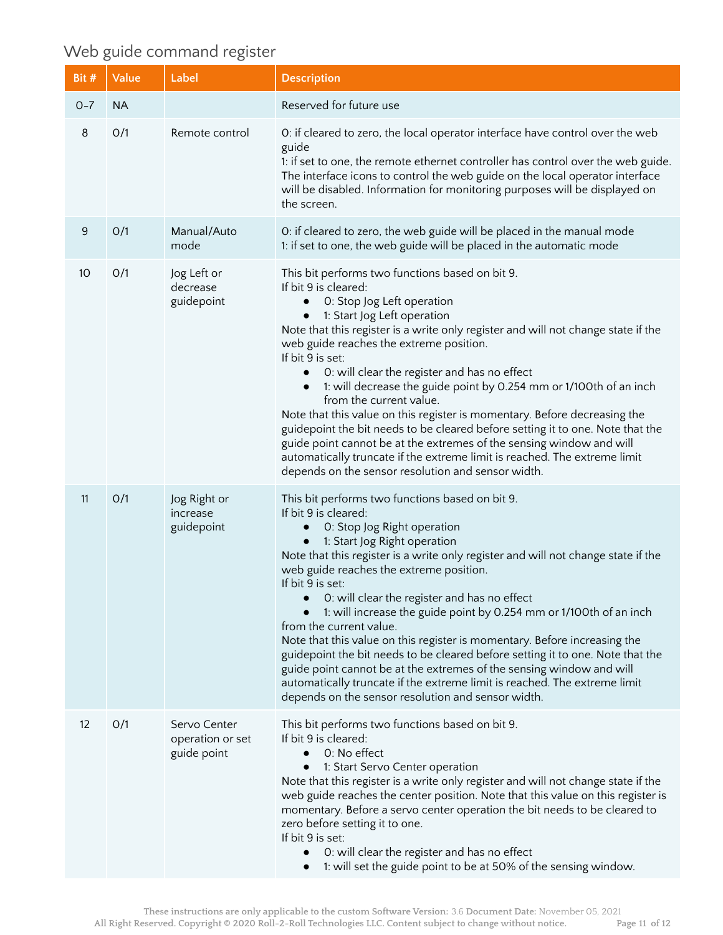# Web guide command register

| Bit #   | Value     | Label                                           | <b>Description</b>                                                                                                                                                                                                                                                                                                                                                                                                                                                                                                                                                                                                                                                                                                                                                                                                                                                      |
|---------|-----------|-------------------------------------------------|-------------------------------------------------------------------------------------------------------------------------------------------------------------------------------------------------------------------------------------------------------------------------------------------------------------------------------------------------------------------------------------------------------------------------------------------------------------------------------------------------------------------------------------------------------------------------------------------------------------------------------------------------------------------------------------------------------------------------------------------------------------------------------------------------------------------------------------------------------------------------|
| $O - 7$ | <b>NA</b> |                                                 | Reserved for future use                                                                                                                                                                                                                                                                                                                                                                                                                                                                                                                                                                                                                                                                                                                                                                                                                                                 |
| 8       | O/1       | Remote control                                  | O: if cleared to zero, the local operator interface have control over the web<br>guide<br>1: if set to one, the remote ethernet controller has control over the web guide.<br>The interface icons to control the web guide on the local operator interface<br>will be disabled. Information for monitoring purposes will be displayed on<br>the screen.                                                                                                                                                                                                                                                                                                                                                                                                                                                                                                                 |
| 9       | O/1       | Manual/Auto<br>mode                             | O: if cleared to zero, the web guide will be placed in the manual mode<br>1: if set to one, the web guide will be placed in the automatic mode                                                                                                                                                                                                                                                                                                                                                                                                                                                                                                                                                                                                                                                                                                                          |
| 10      | O/1       | Jog Left or<br>decrease<br>guidepoint           | This bit performs two functions based on bit 9.<br>If bit 9 is cleared:<br>O: Stop Jog Left operation<br>$\bullet$<br>1: Start Jog Left operation<br>$\bullet$<br>Note that this register is a write only register and will not change state if the<br>web guide reaches the extreme position.<br>If bit 9 is set:<br>O: will clear the register and has no effect<br>$\bullet$<br>1: will decrease the guide point by 0.254 mm or 1/100th of an inch<br>$\bullet$<br>from the current value.<br>Note that this value on this register is momentary. Before decreasing the<br>guidepoint the bit needs to be cleared before setting it to one. Note that the<br>guide point cannot be at the extremes of the sensing window and will<br>automatically truncate if the extreme limit is reached. The extreme limit<br>depends on the sensor resolution and sensor width. |
| 11      | O/1       | Jog Right or<br>increase<br>guidepoint          | This bit performs two functions based on bit 9.<br>If bit 9 is cleared:<br>O: Stop Jog Right operation<br>$\bullet$<br>1: Start Jog Right operation<br>$\bullet$<br>Note that this register is a write only register and will not change state if the<br>web guide reaches the extreme position.<br>If bit 9 is set:<br>O: will clear the register and has no effect<br>1: will increase the guide point by 0.254 mm or 1/100th of an inch<br>from the current value.<br>Note that this value on this register is momentary. Before increasing the<br>guidepoint the bit needs to be cleared before setting it to one. Note that the<br>guide point cannot be at the extremes of the sensing window and will<br>automatically truncate if the extreme limit is reached. The extreme limit<br>depends on the sensor resolution and sensor width.                         |
| 12      | O/1       | Servo Center<br>operation or set<br>guide point | This bit performs two functions based on bit 9.<br>If bit 9 is cleared:<br>0: No effect<br>$\bullet$<br>1: Start Servo Center operation<br>Note that this register is a write only register and will not change state if the<br>web guide reaches the center position. Note that this value on this register is<br>momentary. Before a servo center operation the bit needs to be cleared to<br>zero before setting it to one.<br>If bit 9 is set:<br>O: will clear the register and has no effect<br>1: will set the guide point to be at 50% of the sensing window.<br>$\bullet$                                                                                                                                                                                                                                                                                      |